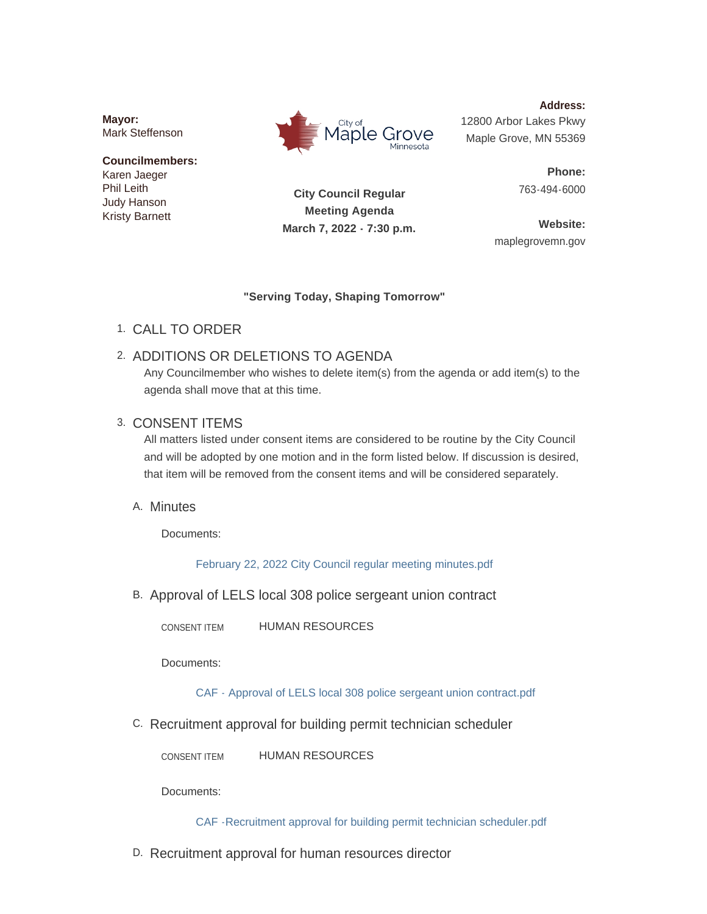**Mayor:** Mark Steffenson

#### **Councilmembers:** Karen Jaeger Phil Leith Judy Hanson Kristy Barnett



**Address:** 12800 Arbor Lakes Pkwy Maple Grove, MN 55369

> **Phone:** 763-494-6000

**City Council Regular Meeting Agenda March 7, 2022 - 7:30 p.m.**

**Website:** maplegrovemn.gov

### **"Serving Today, Shaping Tomorrow"**

CALL TO ORDER 1.

# 2. ADDITIONS OR DELETIONS TO AGENDA

Any Councilmember who wishes to delete item(s) from the agenda or add item(s) to the agenda shall move that at this time.

## 3. CONSENT ITEMS

All matters listed under consent items are considered to be routine by the City Council and will be adopted by one motion and in the form listed below. If discussion is desired, that item will be removed from the consent items and will be considered separately.

## A. Minutes

Documents:

[February 22, 2022 City Council regular meeting minutes.pdf](https://www.maplegrovemn.gov/AgendaCenter/ViewFile/Item/1358?fileID=5292)

B. Approval of LELS local 308 police sergeant union contract

HUMAN RESOURCES CONSENT ITEM

Documents:

[CAF - Approval of LELS local 308 police sergeant union contract.pdf](https://www.maplegrovemn.gov/AgendaCenter/ViewFile/Item/1385?fileID=5302)

C. Recruitment approval for building permit technician scheduler

HUMAN RESOURCES CONSENT ITEM

Documents:

[CAF -Recruitment approval for building permit technician scheduler.pdf](https://www.maplegrovemn.gov/AgendaCenter/ViewFile/Item/1384?fileID=5346)

D. Recruitment approval for human resources director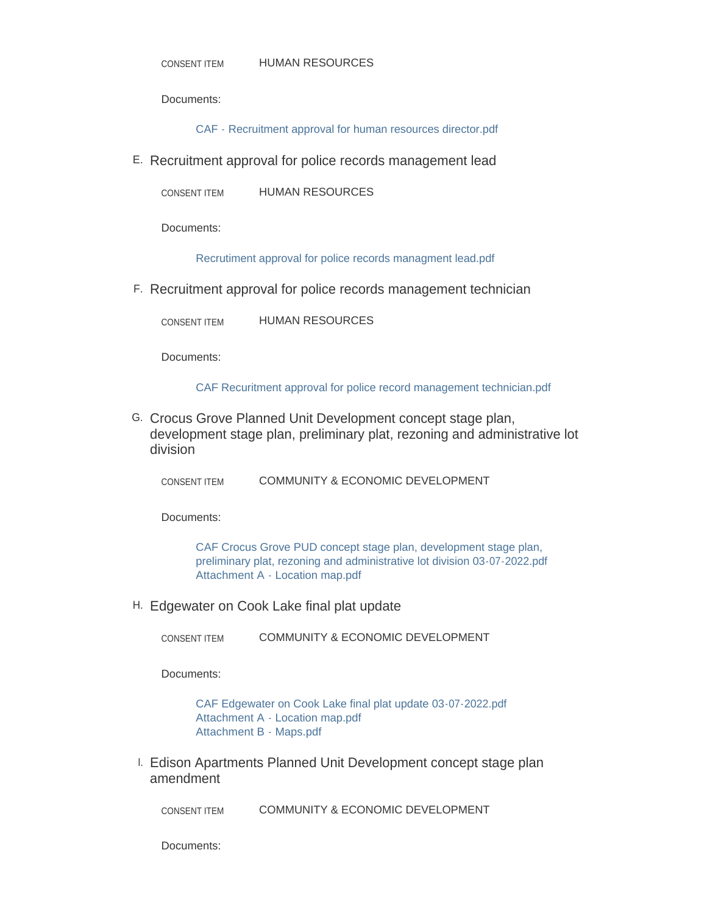Documents:

[CAF - Recruitment approval for human resources director.pdf](https://www.maplegrovemn.gov/AgendaCenter/ViewFile/Item/1378?fileID=5295)

E. Recruitment approval for police records management lead

HUMAN RESOURCES CONSENT ITEM

Documents:

[Recrutiment approval for police records managment lead.pdf](https://www.maplegrovemn.gov/AgendaCenter/ViewFile/Item/1380?fileID=5335)

F. Recruitment approval for police records management technician

HUMAN RESOURCES CONSENT ITEM

Documents:

[CAF Recuritment approval for police record management technician.pdf](https://www.maplegrovemn.gov/AgendaCenter/ViewFile/Item/1383?fileID=5348)

G. Crocus Grove Planned Unit Development concept stage plan, development stage plan, preliminary plat, rezoning and administrative lot division

COMMUNITY & ECONOMIC DEVELOPMENT CONSENT ITEM

Documents:

CAF Crocus Grove PUD concept stage plan, development stage plan, [preliminary plat, rezoning and administrative lot division 03-07-2022.pdf](https://www.maplegrovemn.gov/AgendaCenter/ViewFile/Item/1399?fileID=5323) [Attachment A - Location map.pdf](https://www.maplegrovemn.gov/AgendaCenter/ViewFile/Item/1399?fileID=5322)

Edgewater on Cook Lake final plat update H.

COMMUNITY & ECONOMIC DEVELOPMENT CONSENT ITEM

Documents:

[CAF Edgewater on Cook Lake final plat update 03-07-2022.pdf](https://www.maplegrovemn.gov/AgendaCenter/ViewFile/Item/1398?fileID=5455) [Attachment A - Location map.pdf](https://www.maplegrovemn.gov/AgendaCenter/ViewFile/Item/1398?fileID=5312) [Attachment B - Maps.pdf](https://www.maplegrovemn.gov/AgendaCenter/ViewFile/Item/1398?fileID=5313)

I. Edison Apartments Planned Unit Development concept stage plan amendment

COMMUNITY & ECONOMIC DEVELOPMENT CONSENT ITEM

Documents: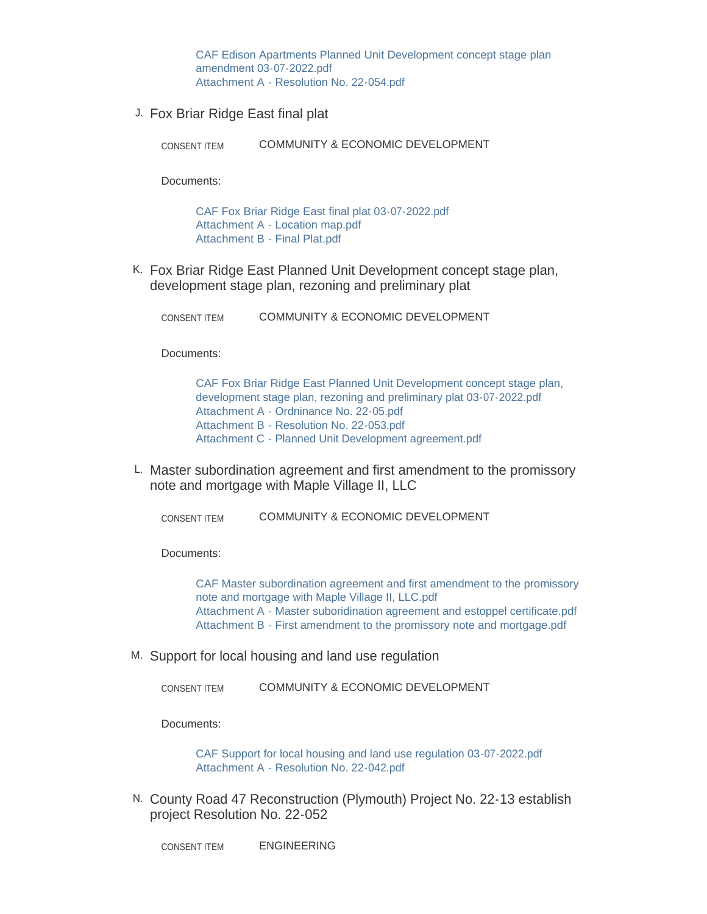[CAF Edison Apartments Planned Unit Development concept stage plan](https://www.maplegrovemn.gov/AgendaCenter/ViewFile/Item/1402?fileID=5311)  amendment 03-07-2022.pdf [Attachment A - Resolution No. 22-054.pdf](https://www.maplegrovemn.gov/AgendaCenter/ViewFile/Item/1402?fileID=5310)

J. Fox Briar Ridge East final plat

COMMUNITY & ECONOMIC DEVELOPMENT CONSENT ITEM

Documents:

[CAF Fox Briar Ridge East final plat 03-07-2022.pdf](https://www.maplegrovemn.gov/AgendaCenter/ViewFile/Item/1400?fileID=5326) [Attachment A - Location map.pdf](https://www.maplegrovemn.gov/AgendaCenter/ViewFile/Item/1400?fileID=5324) [Attachment B - Final Plat.pdf](https://www.maplegrovemn.gov/AgendaCenter/ViewFile/Item/1400?fileID=5325)

K. Fox Briar Ridge East Planned Unit Development concept stage plan, development stage plan, rezoning and preliminary plat

COMMUNITY & ECONOMIC DEVELOPMENT CONSENT ITEM

Documents:

[CAF Fox Briar Ridge East Planned Unit Development concept stage plan,](https://www.maplegrovemn.gov/AgendaCenter/ViewFile/Item/1401?fileID=5327)  development stage plan, rezoning and preliminary plat 03-07-2022.pdf [Attachment A - Ordninance No. 22-05.pdf](https://www.maplegrovemn.gov/AgendaCenter/ViewFile/Item/1401?fileID=5328) [Attachment B - Resolution No. 22-053.pdf](https://www.maplegrovemn.gov/AgendaCenter/ViewFile/Item/1401?fileID=5329) [Attachment C - Planned Unit Development agreement.pdf](https://www.maplegrovemn.gov/AgendaCenter/ViewFile/Item/1401?fileID=5330)

L. Master subordination agreement and first amendment to the promissory note and mortgage with Maple Village II, LLC

COMMUNITY & ECONOMIC DEVELOPMENT CONSENT ITEM

Documents:

[CAF Master subordination agreement and first amendment to the promissory](https://www.maplegrovemn.gov/AgendaCenter/ViewFile/Item/1356?fileID=5286)  note and mortgage with Maple Village II, LLC.pdf [Attachment A - Master suboridination agreement and estoppel certificate.pdf](https://www.maplegrovemn.gov/AgendaCenter/ViewFile/Item/1356?fileID=5284) [Attachment B - First amendment to the promissory note and mortgage.pdf](https://www.maplegrovemn.gov/AgendaCenter/ViewFile/Item/1356?fileID=5285)

M. Support for local housing and land use regulation

COMMUNITY & ECONOMIC DEVELOPMENT CONSENT ITEM

Documents:

[CAF Support for local housing and land use regulation 03-07-2022.pdf](https://www.maplegrovemn.gov/AgendaCenter/ViewFile/Item/1396?fileID=5306) [Attachment A - Resolution No. 22-042.pdf](https://www.maplegrovemn.gov/AgendaCenter/ViewFile/Item/1396?fileID=5307)

N. County Road 47 Reconstruction (Plymouth) Project No. 22-13 establish project Resolution No. 22-052

ENGINEERING CONSENT ITEM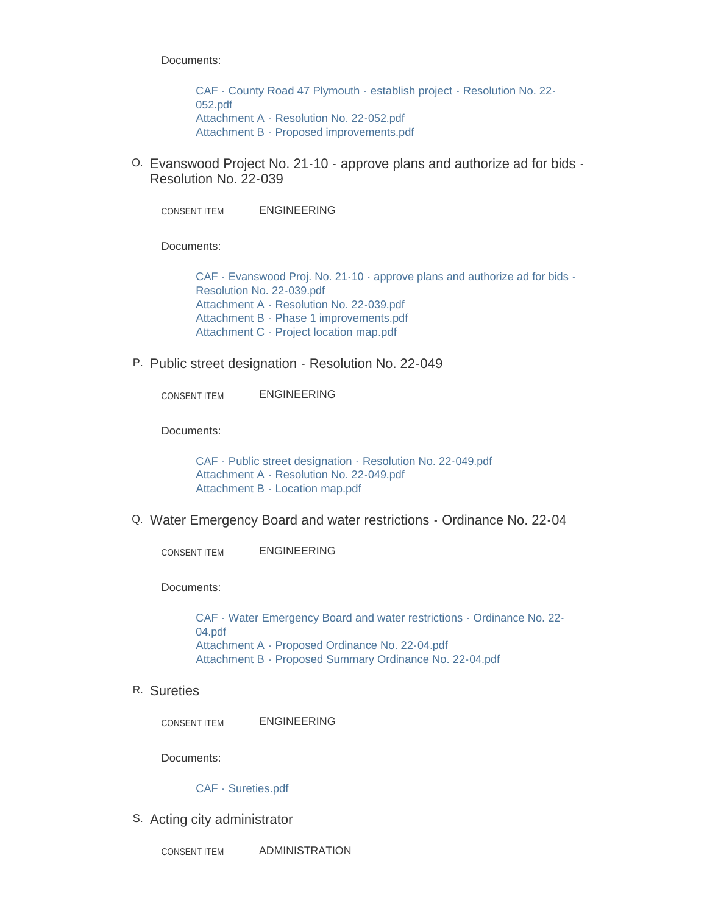Documents:

[CAF - County Road 47 Plymouth - establish project - Resolution No. 22-](https://www.maplegrovemn.gov/AgendaCenter/ViewFile/Item/1407?fileID=5342) 052.pdf [Attachment A - Resolution No. 22-052.pdf](https://www.maplegrovemn.gov/AgendaCenter/ViewFile/Item/1407?fileID=5343) [Attachment B - Proposed improvements.pdf](https://www.maplegrovemn.gov/AgendaCenter/ViewFile/Item/1407?fileID=5344)

Evanswood Project No. 21-10 - approve plans and authorize ad for bids - O. Resolution No. 22-039

ENGINEERING CONSENT ITEM

Documents:

[CAF - Evanswood Proj. No. 21-10 - approve plans and authorize ad for bids -](https://www.maplegrovemn.gov/AgendaCenter/ViewFile/Item/1410?fileID=5355) Resolution No. 22-039.pdf [Attachment A - Resolution No. 22-039.pdf](https://www.maplegrovemn.gov/AgendaCenter/ViewFile/Item/1410?fileID=5358) [Attachment B - Phase 1 improvements.pdf](https://www.maplegrovemn.gov/AgendaCenter/ViewFile/Item/1410?fileID=5356) [Attachment C - Project location map.pdf](https://www.maplegrovemn.gov/AgendaCenter/ViewFile/Item/1410?fileID=5357)

P. Public street designation - Resolution No. 22-049

ENGINEERING CONSENT ITEM

Documents:

[CAF - Public street designation - Resolution No. 22-049.pdf](https://www.maplegrovemn.gov/AgendaCenter/ViewFile/Item/1405?fileID=5336) [Attachment A - Resolution No. 22-049.pdf](https://www.maplegrovemn.gov/AgendaCenter/ViewFile/Item/1405?fileID=5337) [Attachment B - Location map.pdf](https://www.maplegrovemn.gov/AgendaCenter/ViewFile/Item/1405?fileID=5338)

Water Emergency Board and water restrictions - Ordinance No. 22-04 Q.

ENGINEERING CONSENT ITEM

Documents:

[CAF - Water Emergency Board and water restrictions - Ordinance No. 22-](https://www.maplegrovemn.gov/AgendaCenter/ViewFile/Item/1406?fileID=5339) 04.pdf [Attachment A - Proposed Ordinance No. 22-04.pdf](https://www.maplegrovemn.gov/AgendaCenter/ViewFile/Item/1406?fileID=5340) [Attachment B - Proposed Summary Ordinance No. 22-04.pdf](https://www.maplegrovemn.gov/AgendaCenter/ViewFile/Item/1406?fileID=5341)

R. Sureties

ENGINEERING CONSENT ITEM

Documents:

#### [CAF - Sureties.pdf](https://www.maplegrovemn.gov/AgendaCenter/ViewFile/Item/1408?fileID=5345)

S. Acting city administrator

ADMINISTRATION CONSENT ITEM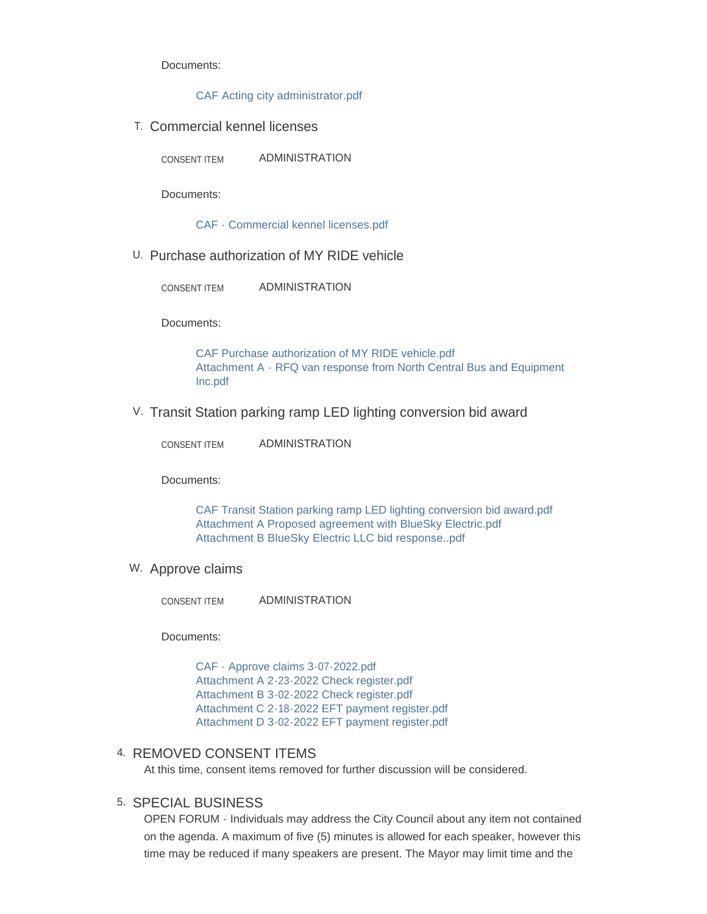Documents:

[CAF Acting city administrator.pdf](https://www.maplegrovemn.gov/AgendaCenter/ViewFile/Item/1322?fileID=5354)

T. Commercial kennel licenses

ADMINISTRATION CONSENT ITEM

Documents:

[CAF - Commercial kennel licenses.pdf](https://www.maplegrovemn.gov/AgendaCenter/ViewFile/Item/1404?fileID=5331)

U. Purchase authorization of MY RIDE vehicle

ADMINISTRATION CONSENT ITEM

Documents:

[CAF Purchase authorization of MY RIDE vehicle.pdf](https://www.maplegrovemn.gov/AgendaCenter/ViewFile/Item/1359?fileID=5293) [Attachment A - RFQ van response from North Central Bus and Equipment](https://www.maplegrovemn.gov/AgendaCenter/ViewFile/Item/1359?fileID=5294)  Inc.pdf

V. Transit Station parking ramp LED lighting conversion bid award

| <b>CONSENT ITEM</b> | ADMINISTRATION |
|---------------------|----------------|
|---------------------|----------------|

Documents:

[CAF Transit Station parking ramp LED lighting conversion bid award.pdf](https://www.maplegrovemn.gov/AgendaCenter/ViewFile/Item/1397?fileID=5308) [Attachment A Proposed agreement with BlueSky Electric.pdf](https://www.maplegrovemn.gov/AgendaCenter/ViewFile/Item/1397?fileID=5309) [Attachment B BlueSky Electric LLC bid response..pdf](https://www.maplegrovemn.gov/AgendaCenter/ViewFile/Item/1397?fileID=5332)

W. Approve claims

ADMINISTRATION CONSENT ITEM

Documents:

[CAF - Approve claims 3-07-2022.pdf](https://www.maplegrovemn.gov/AgendaCenter/ViewFile/Item/1409?fileID=5352) [Attachment A 2-23-2022 Check register.pdf](https://www.maplegrovemn.gov/AgendaCenter/ViewFile/Item/1409?fileID=5353) [Attachment B 3-02-2022 Check register.pdf](https://www.maplegrovemn.gov/AgendaCenter/ViewFile/Item/1409?fileID=5349) [Attachment C 2-18-2022 EFT payment register.pdf](https://www.maplegrovemn.gov/AgendaCenter/ViewFile/Item/1409?fileID=5350) [Attachment D 3-02-2022 EFT payment register.pdf](https://www.maplegrovemn.gov/AgendaCenter/ViewFile/Item/1409?fileID=5351)

#### 4. REMOVED CONSENT ITEMS

At this time, consent items removed for further discussion will be considered.

#### 5. SPECIAL BUSINESS

OPEN FORUM - Individuals may address the City Council about any item not contained on the agenda. A maximum of five (5) minutes is allowed for each speaker, however this time may be reduced if many speakers are present. The Mayor may limit time and the